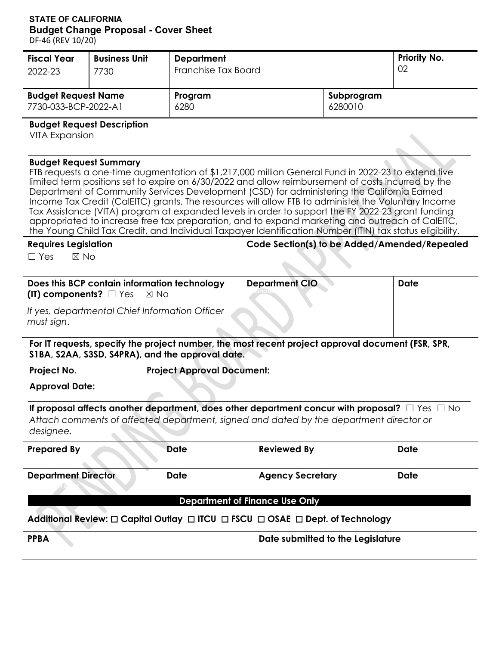#### **STATE OF CALIFORNIA Budget Change Proposal - Cover Sheet**

DF-46 (REV 10/20)

L,

| <b>Fiscal Year</b><br>2022-23                                                                                                                                                                                                                                                                                                                                                                                                                                                                                                                                                                                                                                                                                                                                      | <b>Business Unit</b><br>7730                                   | <b>Department</b><br>Franchise Tax Board                                                                                                              | Priority No.<br>02                           |  |             |  |  |  |
|--------------------------------------------------------------------------------------------------------------------------------------------------------------------------------------------------------------------------------------------------------------------------------------------------------------------------------------------------------------------------------------------------------------------------------------------------------------------------------------------------------------------------------------------------------------------------------------------------------------------------------------------------------------------------------------------------------------------------------------------------------------------|----------------------------------------------------------------|-------------------------------------------------------------------------------------------------------------------------------------------------------|----------------------------------------------|--|-------------|--|--|--|
| <b>Budget Request Name</b><br>7730-033-BCP-2022-A1                                                                                                                                                                                                                                                                                                                                                                                                                                                                                                                                                                                                                                                                                                                 |                                                                | Program<br>6280                                                                                                                                       |                                              |  |             |  |  |  |
| <b>Budget Request Description</b><br><b>VITA Expansion</b>                                                                                                                                                                                                                                                                                                                                                                                                                                                                                                                                                                                                                                                                                                         |                                                                |                                                                                                                                                       |                                              |  |             |  |  |  |
| <b>Budget Request Summary</b><br>FTB requests a one-time augmentation of \$1,217,000 million General Fund in 2022-23 to extend five<br>limited term positions set to expire on 6/30/2022 and allow reimbursement of costs incurred by the<br>Department of Community Services Development (CSD) for administering the California Earned<br>Income Tax Credit (CalEITC) grants. The resources will allow FTB to administer the Voluntary Income<br>Tax Assistance (VITA) program at expanded levels in order to support the FY 2022-23 grant funding<br>appropriated to increase free tax preparation, and to expand marketing and outreach of CalEITC,<br>the Young Child Tax Credit, and Individual Taxpayer Identification Number (ITIN) tax status eligibility. |                                                                |                                                                                                                                                       |                                              |  |             |  |  |  |
| <b>Requires Legislation</b><br>$\boxtimes$ No<br>$\Box$ Yes                                                                                                                                                                                                                                                                                                                                                                                                                                                                                                                                                                                                                                                                                                        |                                                                |                                                                                                                                                       | Code Section(s) to be Added/Amended/Repealed |  |             |  |  |  |
| (IT) components? $\Box$ Yes                                                                                                                                                                                                                                                                                                                                                                                                                                                                                                                                                                                                                                                                                                                                        | Does this BCP contain information technology<br>$\boxtimes$ No |                                                                                                                                                       | <b>Department CIO</b>                        |  | <b>Date</b> |  |  |  |
| must sign.                                                                                                                                                                                                                                                                                                                                                                                                                                                                                                                                                                                                                                                                                                                                                         | If yes, departmental Chief Information Officer                 |                                                                                                                                                       |                                              |  |             |  |  |  |
|                                                                                                                                                                                                                                                                                                                                                                                                                                                                                                                                                                                                                                                                                                                                                                    |                                                                | For IT requests, specify the project number, the most recent project approval document (FSR, SPR,<br>S1BA, S2AA, S3SD, S4PRA), and the approval date. |                                              |  |             |  |  |  |
| Project No.                                                                                                                                                                                                                                                                                                                                                                                                                                                                                                                                                                                                                                                                                                                                                        |                                                                | <b>Project Approval Document:</b>                                                                                                                     |                                              |  |             |  |  |  |
| <b>Approval Date:</b>                                                                                                                                                                                                                                                                                                                                                                                                                                                                                                                                                                                                                                                                                                                                              |                                                                |                                                                                                                                                       |                                              |  |             |  |  |  |
| If proposal affects another department, does other department concur with proposal? $\square$ Yes $\square$ No<br>Attach comments of affected department, signed and dated by the department director or<br>designee.                                                                                                                                                                                                                                                                                                                                                                                                                                                                                                                                              |                                                                |                                                                                                                                                       |                                              |  |             |  |  |  |
| <b>Prepared By</b>                                                                                                                                                                                                                                                                                                                                                                                                                                                                                                                                                                                                                                                                                                                                                 |                                                                | <b>Date</b>                                                                                                                                           | <b>Reviewed By</b>                           |  | <b>Date</b> |  |  |  |

| <b>Prepared By</b>                    | Date | <b>Reviewed By</b>      | Date |  |  |  |  |  |  |
|---------------------------------------|------|-------------------------|------|--|--|--|--|--|--|
| <b>Department Director</b>            | Date | <b>Agency Secretary</b> | Date |  |  |  |  |  |  |
| <b>Department of Finance Use Only</b> |      |                         |      |  |  |  |  |  |  |

# **Additional Review:** ☐ **Capital Outlay** ☐ **ITCU** ☐ **FSCU** ☐ **OSAE** ☐ **Dept. of Technology**

| <b>PPBA</b> | Date submitted to the Legislature |
|-------------|-----------------------------------|
|-------------|-----------------------------------|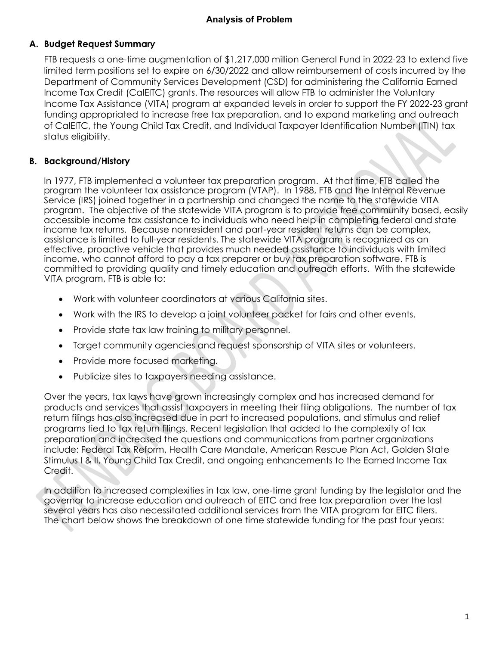### **A. Budget Request Summary**

FTB requests a one-time augmentation of \$1,217,000 million General Fund in 2022-23 to extend five limited term positions set to expire on 6/30/2022 and allow reimbursement of costs incurred by the Department of Community Services Development (CSD) for administering the California Earned Income Tax Credit (CalEITC) grants. The resources will allow FTB to administer the Voluntary Income Tax Assistance (VITA) program at expanded levels in order to support the FY 2022-23 grant funding appropriated to increase free tax preparation, and to expand marketing and outreach of CalEITC, the Young Child Tax Credit, and Individual Taxpayer Identification Number (ITIN) tax status eligibility.

### **B. Background/History**

In 1977, FTB implemented a volunteer tax preparation program. At that time, FTB called the program the volunteer tax assistance program (VTAP). In 1988, FTB and the Internal Revenue Service (IRS) joined together in a partnership and changed the name to the statewide VITA program. The objective of the statewide VITA program is to provide free community based, easily accessible income tax assistance to individuals who need help in completing federal and state income tax returns. Because nonresident and part-year resident returns can be complex, assistance is limited to full-year residents. The statewide VITA program is recognized as an effective, proactive vehicle that provides much needed assistance to individuals with limited income, who cannot afford to pay a tax preparer or buy tax preparation software. FTB is committed to providing quality and timely education and outreach efforts. With the statewide VITA program, FTB is able to:

- Work with volunteer coordinators at various California sites.
- Work with the IRS to develop a joint volunteer packet for fairs and other events.
- Provide state tax law training to military personnel.
- Target community agencies and request sponsorship of VITA sites or volunteers.
- Provide more focused marketing.
- Publicize sites to taxpayers needing assistance.

Over the years, tax laws have grown increasingly complex and has increased demand for products and services that assist taxpayers in meeting their filing obligations. The number of tax return filings has also increased due in part to increased populations, and stimulus and relief programs tied to tax return filings. Recent legislation that added to the complexity of tax preparation and increased the questions and communications from partner organizations include: Federal Tax Reform, Health Care Mandate, American Rescue Plan Act, Golden State Stimulus I & II, Young Child Tax Credit, and ongoing enhancements to the Earned Income Tax Credit.

In addition to increased complexities in tax law, one-time grant funding by the legislator and the governor to increase education and outreach of EITC and free tax preparation over the last several years has also necessitated additional services from the VITA program for EITC filers. The chart below shows the breakdown of one time statewide funding for the past four years: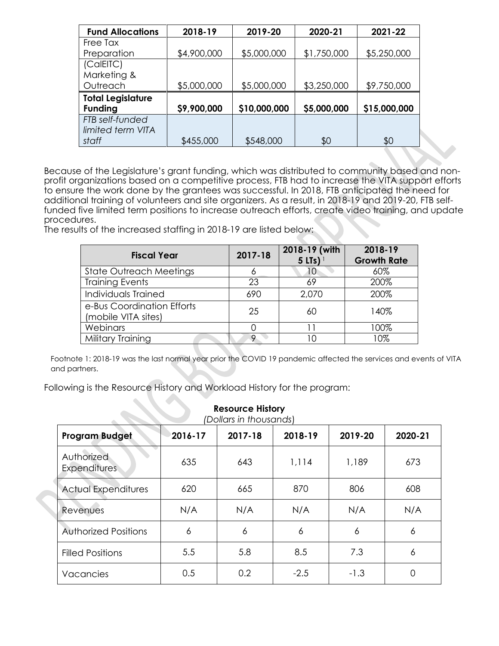| <b>Fund Allocations</b>  | 2018-19     | 2019-20      | 2020-21     | 2021-22      |
|--------------------------|-------------|--------------|-------------|--------------|
| Free Tax                 |             |              |             |              |
| Preparation              | \$4,900,000 | \$5,000,000  | \$1,750,000 | \$5,250,000  |
| (CalEITC)                |             |              |             |              |
| Marketing &              |             |              |             |              |
| Outreach                 | \$5,000,000 | \$5,000,000  | \$3,250,000 | \$9,750,000  |
| <b>Total Legislature</b> |             |              |             |              |
| <b>Funding</b>           | \$9,900,000 | \$10,000,000 | \$5,000,000 | \$15,000,000 |
| FTB self-funded          |             |              |             |              |
| limited term VITA        |             |              |             |              |
| staff                    | \$455,000   | \$548,000    | \$0         | \$0          |

Because of the Legislature's grant funding, which was distributed to community based and nonprofit organizations based on a competitive process, FTB had to increase the VITA support efforts to ensure the work done by the grantees was successful. In 2018, FTB anticipated the need for additional training of volunteers and site organizers. As a result, in 2018-19 and 2019-20, FTB selffunded five limited term positions to increase outreach efforts, create video training, and update procedures.

The results of the increased staffing in 2018-19 are listed below:

| <b>Fiscal Year</b>                                | 2017-18 | 2018-19 (with<br>$5$ LTs) <sup>1</sup> | 2018-19<br><b>Growth Rate</b> |
|---------------------------------------------------|---------|----------------------------------------|-------------------------------|
| <b>State Outreach Meetings</b>                    | 6       |                                        | 60%                           |
| <b>Training Events</b>                            | 23      | 69                                     | 200%                          |
| Individuals Trained                               | 690     | 2,070                                  | 200%                          |
| e-Bus Coordination Efforts<br>(mobile VITA sites) | 25      | 60                                     | 140%                          |
| Webinars                                          |         |                                        | 100%                          |
| Military Training                                 | 9       |                                        | 10%                           |

Footnote 1: 2018-19 was the last normal year prior the COVID 19 pandemic affected the services and events of VITA and partners.

Following is the Resource History and Workload History for the program:

| <b>Resource History</b><br>(Dollars in thousands) |         |         |         |         |         |  |  |  |  |  |
|---------------------------------------------------|---------|---------|---------|---------|---------|--|--|--|--|--|
| <b>Program Budget</b>                             | 2016-17 | 2017-18 | 2018-19 | 2019-20 | 2020-21 |  |  |  |  |  |
| Authorized<br><b>Expenditures</b>                 | 635     | 643     | 1,114   | 1,189   | 673     |  |  |  |  |  |
| <b>Actual Expenditures</b>                        | 620     | 665     | 870     | 806     | 608     |  |  |  |  |  |
| Revenues                                          | N/A     | N/A     | N/A     | N/A     | N/A     |  |  |  |  |  |
| <b>Authorized Positions</b>                       | 6       | 6       | 6       | 6       | 6       |  |  |  |  |  |
| <b>Filled Positions</b>                           | 5.5     | 5.8     | 8.5     | 7.3     | 6       |  |  |  |  |  |
| Vacancies                                         | 0.5     | 0.2     | $-2.5$  | $-1.3$  | 0       |  |  |  |  |  |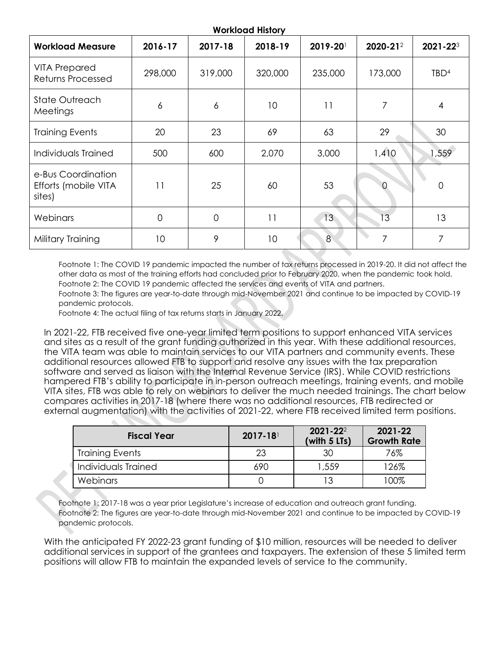| <b>Workload Measure</b>                              | 2016-17 | 2017-18        | 2018-19         | 2019-20 | 2020-212 | 2021-223         |
|------------------------------------------------------|---------|----------------|-----------------|---------|----------|------------------|
| <b>VITA Prepared</b><br>Returns Processed            | 298,000 | 319,000        | 320,000         | 235,000 | 173,000  | TBD <sup>4</sup> |
| <b>State Outreach</b><br>Meetings                    | 6       | 6              | 10              | 11      | 7        | 4                |
| <b>Training Events</b>                               | 20      | 23             | 69              | 63      | 29       | 30               |
| Individuals Trained                                  | 500     | 600            | 2,070           | 3,000   | 1,410    | 1,559            |
| e-Bus Coordination<br>Efforts (mobile VITA<br>sites) | 11      | 25             | 60              | 53      |          | 0                |
| Webinars                                             | 0       | $\overline{0}$ | 11              | 13      | 13       | 13               |
| Military Training                                    | 10      | 9              | 10 <sup>°</sup> | 8       | 7        | 7                |

Footnote 1: The COVID 19 pandemic impacted the number of tax returns processed in 2019-20. It did not affect the other data as most of the training efforts had concluded prior to February 2020, when the pandemic took hold. Footnote 2: The COVID 19 pandemic affected the services and events of VITA and partners.

Footnote 3: The figures are year-to-date through mid-November 2021 and continue to be impacted by COVID-19 pandemic protocols.

Footnote 4: The actual filing of tax returns starts in January 2022.

In 2021-22, FTB received five one-year limited term positions to support enhanced VITA services and sites as a result of the grant funding authorized in this year. With these additional resources, the VITA team was able to maintain services to our VITA partners and community events. These additional resources allowed FTB to support and resolve any issues with the tax preparation software and served as liaison with the Internal Revenue Service (IRS). While COVID restrictions hampered FTB's ability to participate in in-person outreach meetings, training events, and mobile VITA sites, FTB was able to rely on webinars to deliver the much needed trainings. The chart below compares activities in 2017-18 (where there was no additional resources, FTB redirected or external augmentation) with the activities of 2021-22, where FTB received limited term positions.

| <b>Fiscal Year</b>     | $2017 - 18$ | $2021 - 22^2$<br>(with $5$ LTs) | 2021-22<br><b>Growth Rate</b> |
|------------------------|-------------|---------------------------------|-------------------------------|
| <b>Training Events</b> | 23          | 30                              | 76%                           |
| Individuals Trained    | 690         | 1,559                           | 126%                          |
| Webinars               |             | 13                              | 100%                          |

Footnote 1: 2017-18 was a year prior Legislature's increase of education and outreach grant funding. Footnote 2: The figures are year-to-date through mid-November 2021 and continue to be impacted by COVID-19 pandemic protocols.

With the anticipated FY 2022-23 grant funding of \$10 million, resources will be needed to deliver additional services in support of the grantees and taxpayers. The extension of these 5 limited term positions will allow FTB to maintain the expanded levels of service to the community.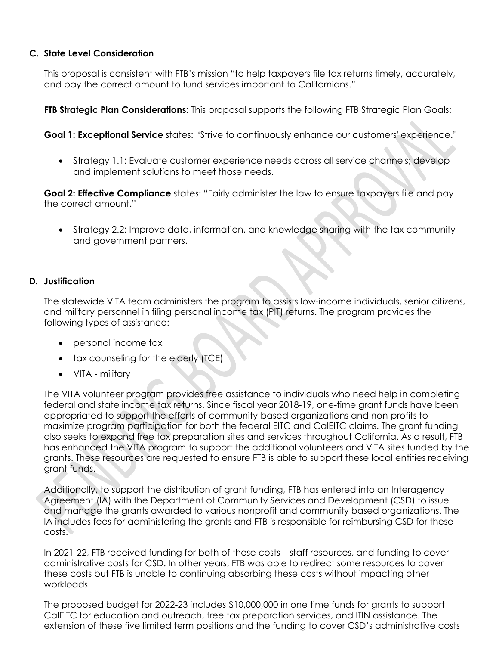#### **C. State Level Consideration**

This proposal is consistent with FTB's mission "to help taxpayers file tax returns timely, accurately, and pay the correct amount to fund services important to Californians."

**FTB Strategic Plan Considerations:** This proposal supports the following FTB Strategic Plan Goals:

**Goal 1: Exceptional Service** states: "Strive to continuously enhance our customers' experience."

• Strategy 1.1: Evaluate customer experience needs across all service channels; develop and implement solutions to meet those needs.

**Goal 2: Effective Compliance** states: "Fairly administer the law to ensure taxpayers file and pay the correct amount."

• Strategy 2.2: Improve data, information, and knowledge sharing with the tax community and government partners.

#### **D. Justification**

The statewide VITA team administers the program to assists low-income individuals, senior citizens, and military personnel in filing personal income tax (PIT) returns. The program provides the following types of assistance:

- personal income tax
- tax counseling for the elderly (TCE)
- VITA military

The VITA volunteer program provides free assistance to individuals who need help in completing federal and state income tax returns. Since fiscal year 2018-19, one-time grant funds have been appropriated to support the efforts of community-based organizations and non-profits to maximize program participation for both the federal EITC and CalEITC claims. The grant funding also seeks to expand free tax preparation sites and services throughout California. As a result, FTB has enhanced the VITA program to support the additional volunteers and VITA sites funded by the grants. These resources are requested to ensure FTB is able to support these local entities receiving grant funds.

Additionally, to support the distribution of grant funding, FTB has entered into an Interagency Agreement (IA) with the Department of Community Services and Development (CSD) to issue and manage the grants awarded to various nonprofit and community based organizations. The IA includes fees for administering the grants and FTB is responsible for reimbursing CSD for these costs.

In 2021-22, FTB received funding for both of these costs – staff resources, and funding to cover administrative costs for CSD. In other years, FTB was able to redirect some resources to cover these costs but FTB is unable to continuing absorbing these costs without impacting other workloads.

The proposed budget for 2022-23 includes \$10,000,000 in one time funds for grants to support CalEITC for education and outreach, free tax preparation services, and ITIN assistance. The extension of these five limited term positions and the funding to cover CSD's administrative costs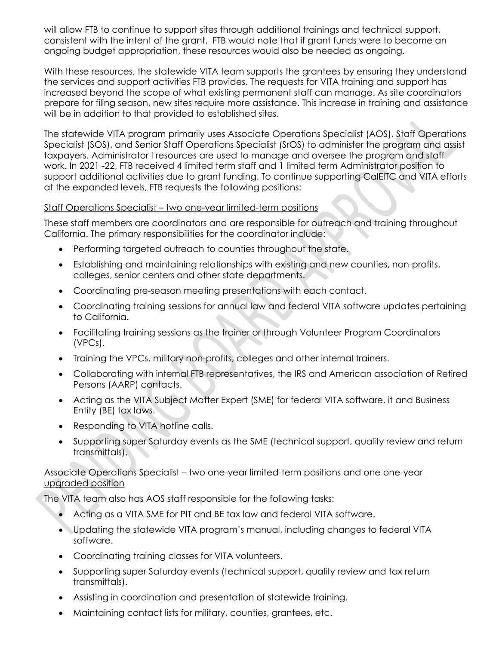will allow FTB to continue to support sites through additional trainings and technical support, consistent with the intent of the grant. FTB would note that if grant funds were to become an ongoing budget appropriation, these resources would also be needed as ongoing.

With these resources, the statewide VITA team supports the grantees by ensuring they understand the services and support activities FTB provides. The requests for VITA training and support has increased beyond the scope of what existing permanent staff can manage. As site coordinators prepare for filing season, new sites require more assistance. This increase in training and assistance will be in addition to that provided to established sites.

The statewide VITA program primarily uses Associate Operations Specialist (AOS), Staff Operations Specialist (SOS), and Senior Staff Operations Specialist (SrOS) to administer the program and assist taxpayers. Administrator I resources are used to manage and oversee the program and staff work. In 2021 -22, FTB received 4 limited term staff and 1 limited term Administrator position to support additional activities due to grant funding. To continue supporting CalEITC and VITA efforts at the expanded levels, FTB requests the following positions:

#### Staff Operations Specialist – two one-year limited-term positions

These staff members are coordinators and are responsible for outreach and training throughout California. The primary responsibilities for the coordinator include:

- Performing targeted outreach to counties throughout the state.
- Establishing and maintaining relationships with existing and new counties, non-profits, colleges, senior centers and other state departments.
- Coordinating pre-season meeting presentations with each contact.
- Coordinating training sessions for annual law and federal VITA software updates pertaining to California.
- Facilitating training sessions as the trainer or through Volunteer Program Coordinators (VPCs).
- Training the VPCs, military non-profits, colleges and other internal trainers.
- Collaborating with internal FTB representatives, the IRS and American association of Retired Persons (AARP) contacts.
- Acting as the VITA Subject Matter Expert (SME) for federal VITA software, it and Business Entity (BE) tax laws.
- Responding to VITA hotline calls.
- Supporting super Saturday events as the SME (technical support, quality review and return transmittals).

#### Associate Operations Specialist – two one-year limited-term positions and one one-year upgraded position

The VITA team also has AOS staff responsible for the following tasks:

- Acting as a VITA SME for PIT and BE tax law and federal VITA software.
- Updating the statewide VITA program's manual, including changes to federal VITA software.
- Coordinating training classes for VITA volunteers.
- Supporting super Saturday events (technical support, quality review and tax return transmittals).
- Assisting in coordination and presentation of statewide training.
- Maintaining contact lists for military, counties, grantees, etc.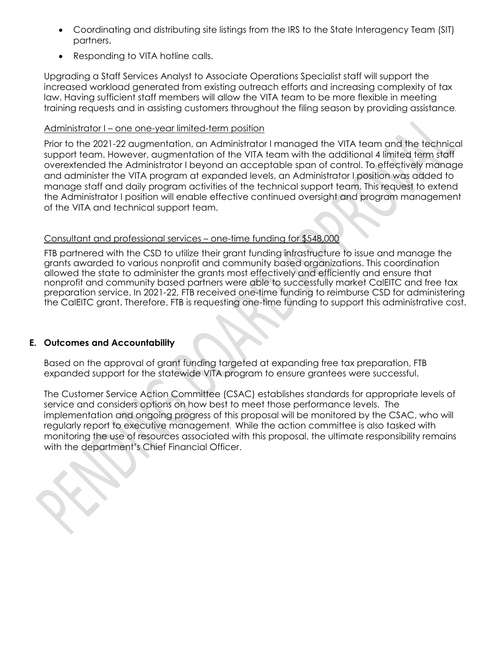- Coordinating and distributing site listings from the IRS to the State Interagency Team (SIT) partners.
- Responding to VITA hotline calls.

Upgrading a Staff Services Analyst to Associate Operations Specialist staff will support the increased workload generated from existing outreach efforts and increasing complexity of tax law. Having sufficient staff members will allow the VITA team to be more flexible in meeting training requests and in assisting customers throughout the filing season by providing assistance**.**

#### Administrator I – one one-year limited-term position

Prior to the 2021-22 augmentation, an Administrator I managed the VITA team and the technical support team. However, augmentation of the VITA team with the additional 4 limited term staff overextended the Administrator I beyond an acceptable span of control. To effectively manage and administer the VITA program at expanded levels, an Administrator I position was added to manage staff and daily program activities of the technical support team. This request to extend the Administrator I position will enable effective continued oversight and program management of the VITA and technical support team.

#### Consultant and professional services – one-time funding for \$548,000

FTB partnered with the CSD to utilize their grant funding infrastructure to issue and manage the grants awarded to various nonprofit and community based organizations. This coordination allowed the state to administer the grants most effectively and efficiently and ensure that nonprofit and community based partners were able to successfully market CalEITC and free tax preparation service. In 2021-22, FTB received one-time funding to reimburse CSD for administering the CalEITC grant. Therefore, FTB is requesting one-time funding to support this administrative cost.

#### **E. Outcomes and Accountability**

Based on the approval of grant funding targeted at expanding free tax preparation, FTB expanded support for the statewide VITA program to ensure grantees were successful.

The Customer Service Action Committee (CSAC) establishes standards for appropriate levels of service and considers options on how best to meet those performance levels. The implementation and ongoing progress of this proposal will be monitored by the CSAC, who will regularly report to executive management**.** While the action committee is also tasked with monitoring the use of resources associated with this proposal, the ultimate responsibility remains with the department's Chief Financial Officer.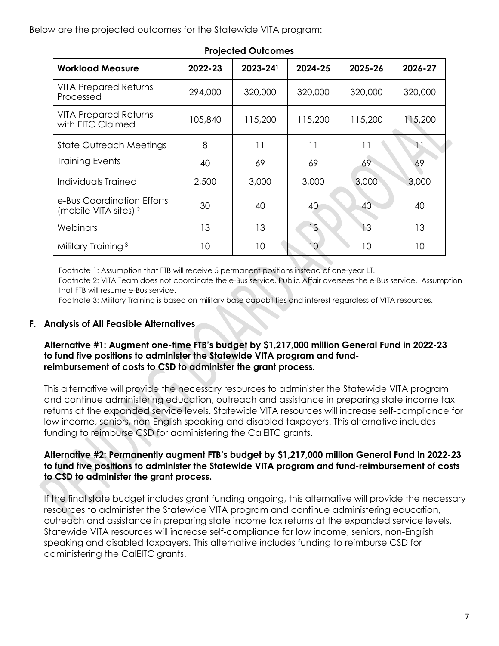Below are the projected outcomes for the Statewide VITA program:

| <b>Workload Measure</b>                                        | 2022-23 | $2023 - 24$ <sup>1</sup> | 2024-25 | 2025-26 | 2026-27 |  |  |  |  |  |
|----------------------------------------------------------------|---------|--------------------------|---------|---------|---------|--|--|--|--|--|
| <b>VITA Prepared Returns</b><br>Processed                      | 294,000 | 320,000                  | 320,000 | 320,000 | 320,000 |  |  |  |  |  |
| <b>VITA Prepared Returns</b><br>with EITC Claimed              | 105,840 | 115,200                  | 115,200 | 115,200 | 115,200 |  |  |  |  |  |
| <b>State Outreach Meetings</b>                                 | 8       | 11                       | 11      | 11      | 11      |  |  |  |  |  |
| <b>Training Events</b>                                         | 40      | 69                       | 69      | 69      | 69      |  |  |  |  |  |
| Individuals Trained                                            | 2,500   | 3,000                    | 3,000   | 3,000   | 3,000   |  |  |  |  |  |
| e-Bus Coordination Efforts<br>(mobile VITA sites) <sup>2</sup> | 30      | 40                       | 40      | 40      | 40      |  |  |  |  |  |
| Webinars                                                       | 13      | 13                       | 13      | 13      | 13      |  |  |  |  |  |
| Military Training <sup>3</sup>                                 | 10      | 10                       | 10      | 10      | 10      |  |  |  |  |  |

#### **Projected Outcomes**

Footnote 1: Assumption that FTB will receive 5 permanent positions instead of one-year LT. Footnote 2: VITA Team does not coordinate the e-Bus service. Public Affair oversees the e-Bus service. Assumption that FTB will resume e-Bus service.

Footnote 3: Military Training is based on military base capabilities and interest regardless of VITA resources.

#### **F. Analysis of All Feasible Alternatives**

#### **Alternative #1: Augment one-time FTB's budget by \$1,217,000 million General Fund in 2022-23 to fund five positions to administer the Statewide VITA program and fundreimbursement of costs to CSD to administer the grant process.**

This alternative will provide the necessary resources to administer the Statewide VITA program and continue administering education, outreach and assistance in preparing state income tax returns at the expanded service levels. Statewide VITA resources will increase self-compliance for low income, seniors, non-English speaking and disabled taxpayers. This alternative includes funding to reimburse CSD for administering the CalEITC grants.

#### **Alternative #2: Permanently augment FTB's budget by \$1,217,000 million General Fund in 2022-23 to fund five positions to administer the Statewide VITA program and fund-reimbursement of costs to CSD to administer the grant process.**

If the final state budget includes grant funding ongoing, this alternative will provide the necessary resources to administer the Statewide VITA program and continue administering education, outreach and assistance in preparing state income tax returns at the expanded service levels. Statewide VITA resources will increase self-compliance for low income, seniors, non-English speaking and disabled taxpayers. This alternative includes funding to reimburse CSD for administering the CalEITC grants.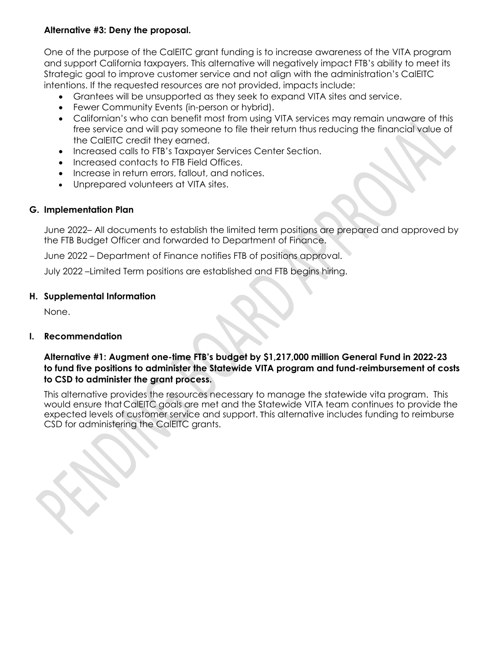#### **Alternative #3: Deny the proposal.**

One of the purpose of the CalEITC grant funding is to increase awareness of the VITA program and support California taxpayers. This alternative will negatively impact FTB's ability to meet its Strategic goal to improve customer service and not align with the administration's CalEITC intentions. If the requested resources are not provided, impacts include:

- Grantees will be unsupported as they seek to expand VITA sites and service.
- Fewer Community Events (in-person or hybrid).
- Californian's who can benefit most from using VITA services may remain unaware of this free service and will pay someone to file their return thus reducing the financial value of the CalEITC credit they earned.
- Increased calls to FTB's Taxpayer Services Center Section.
- Increased contacts to FTB Field Offices.
- Increase in return errors, fallout, and notices.
- Unprepared volunteers at VITA sites.

#### **G. Implementation Plan**

June 2022– All documents to establish the limited term positions are prepared and approved by the FTB Budget Officer and forwarded to Department of Finance.

June 2022 – Department of Finance notifies FTB of positions approval.

July 2022 –Limited Term positions are established and FTB begins hiring.

#### **H. Supplemental Information**

None.

#### **I. Recommendation**

#### **Alternative #1: Augment one-time FTB's budget by \$1,217,000 million General Fund in 2022-23 to fund five positions to administer the Statewide VITA program and fund-reimbursement of costs to CSD to administer the grant process.**

This alternative provides the resources necessary to manage the statewide vita program. This would ensure that CalEITC goals are met and the Statewide VITA team continues to provide the expected levels of customer service and support. This alternative includes funding to reimburse CSD for administering the CalEITC grants.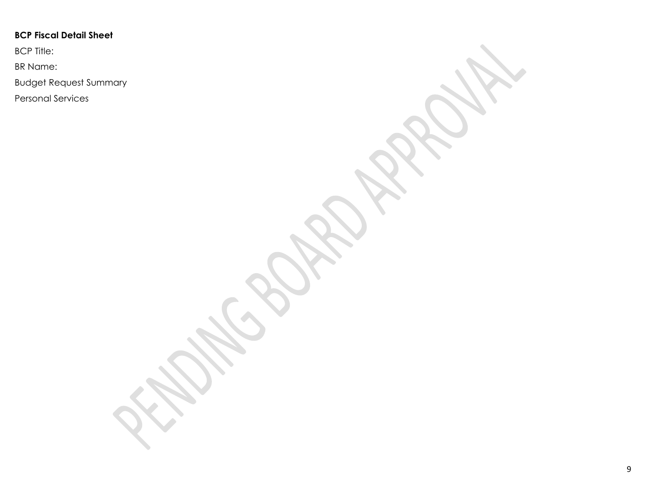## **BCP Fiscal Detail Sheet**

BCP Title:

BR Name:

Budget Request Summary

Personal Services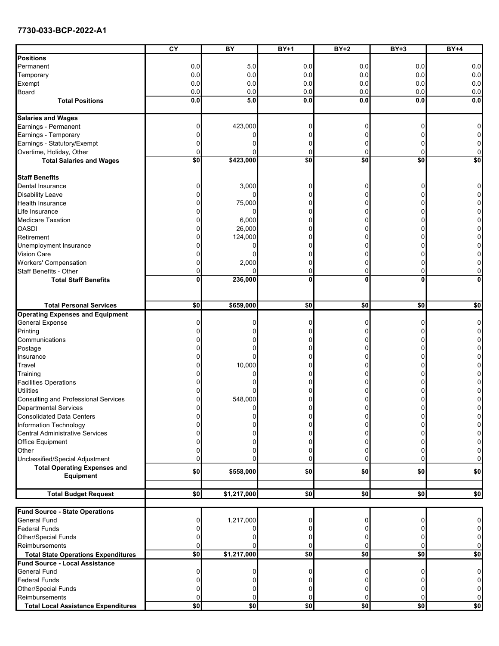#### 7730-033-BCP-2022-A1

|                                                                                     | CY  | BY              | $BY+1$       | $BY+2$          | $BY+3$   | <b>BY+4</b>     |
|-------------------------------------------------------------------------------------|-----|-----------------|--------------|-----------------|----------|-----------------|
| Positions                                                                           |     |                 |              |                 |          |                 |
| Permanent                                                                           | 0.0 | 5.0             | 0.0          | 0.0             | 0.0      | 0.0             |
| Temporary                                                                           | 0.0 | 0.0             | 0.0          | 0.0             | 0.0      | 0.0             |
| Exempt                                                                              | 0.0 | 0.0             | 0.0          | 0.0             | 0.0      | 0.0             |
| Board                                                                               | 0.0 | 0.0             | 0.0          | 0.0             | 0.0      | 0.0             |
| <b>Total Positions</b>                                                              | 0.0 | 5.0             | 0.0          | 0.0             | 0.0      | 0.0             |
|                                                                                     |     |                 |              |                 |          |                 |
| <b>Salaries and Wages</b>                                                           |     |                 |              |                 |          |                 |
| Earnings - Permanent                                                                |     | 423,000         | 0            | $\Omega$        | $\Omega$ | 0               |
| Earnings - Temporary                                                                |     |                 |              | $\Omega$        |          | $\overline{0}$  |
| Earnings - Statutory/Exempt                                                         |     |                 |              | $\Omega$        | O        | 0               |
| Overtime, Holiday, Other                                                            |     |                 | 0            | 0               | 0        | 0               |
| <b>Total Salaries and Wages</b>                                                     | \$0 | \$423,000       | \$0          | $\overline{50}$ | \$0      | $\overline{50}$ |
|                                                                                     |     |                 |              |                 |          |                 |
| <b>Staff Benefits</b>                                                               |     |                 |              |                 |          |                 |
| Dental Insurance                                                                    |     | 3,000           |              | 0               | 0        | 0               |
| <b>Disability Leave</b>                                                             |     |                 |              | $\Omega$        | ŋ        | 0               |
| Health Insurance                                                                    |     | 75,000          | n            | $\mathbf{0}$    | $\Omega$ | 0               |
| Life Insurance                                                                      |     |                 | n            | $\Omega$        | $\Omega$ | 0               |
| <b>Medicare Taxation</b>                                                            |     | 6,000           |              | 0               | 0        | 0               |
| <b>OASDI</b>                                                                        |     | 26,000          |              | 0               | ŋ        | 0               |
| Retirement                                                                          |     | 124,000         |              | U               | ŋ        | 0               |
| Unemployment Insurance                                                              |     |                 |              | 0               | 0        | 0               |
| Vision Care                                                                         |     |                 |              | 0               |          | 0               |
| Workers' Compensation                                                               |     | 2,000           |              | $\Omega$        | 0        | 0               |
| <b>Staff Benefits - Other</b>                                                       |     |                 | 0            | $\overline{0}$  | $\Omega$ | 0               |
| <b>Total Staff Benefits</b>                                                         | 0   | 236,000         | $\mathbf{0}$ | $\mathbf{0}$    | $\bf{0}$ | $\mathbf{0}$    |
|                                                                                     |     |                 |              |                 |          |                 |
|                                                                                     |     |                 |              |                 |          |                 |
| <b>Total Personal Services</b>                                                      | \$0 | \$659,000       | \$0          | \$0             | \$0      | \$0             |
| <b>Operating Expenses and Equipment</b>                                             |     |                 |              |                 |          |                 |
| <b>General Expense</b>                                                              |     |                 | 0            | 0               | 0        | $\overline{0}$  |
| Printing                                                                            |     |                 | n            | $\Omega$        | 0        | $\overline{0}$  |
| Communications                                                                      |     |                 |              | $\Omega$        | 0        | 0               |
| Postage                                                                             |     |                 | n            | $\Omega$        | 0        | 0               |
| Insurance                                                                           |     |                 |              | 0               |          | 0               |
| Travel                                                                              |     | 10,000          |              | 0               | 0        | 0               |
| Training                                                                            |     |                 |              | 0               | ŋ        | 0               |
| <b>Facilities Operations</b>                                                        |     |                 |              | $\Omega$        | 0        | 0               |
| Utilities                                                                           |     |                 |              | 0               | ŋ        | 0               |
| Consulting and Professional Services                                                |     | 548,000         |              | 0               | 0        | 0               |
| <b>Departmental Services</b>                                                        |     | $\Omega$        | U            | $\Omega$        | $\Omega$ | $\Omega$        |
|                                                                                     |     |                 |              |                 |          |                 |
| <b>Consolidated Data Centers</b>                                                    |     |                 | o            | 0               | $\Omega$ | 0               |
| Information Technology                                                              |     |                 |              |                 |          | 0               |
| Central Administrative Services                                                     |     |                 |              |                 |          | 0               |
| Office Equipment                                                                    |     |                 |              | ŋ               |          | $\pmb{0}$       |
| Other                                                                               |     |                 |              | 0               |          | 0               |
| Unclassified/Special Adjustment                                                     |     |                 |              | $\Omega$        | $\Omega$ | $\overline{0}$  |
| <b>Total Operating Expenses and</b>                                                 | \$0 | \$558,000       | \$0          | \$0             | \$0      | \$0             |
| Equipment                                                                           |     |                 |              |                 |          |                 |
| <b>Total Budget Request</b>                                                         | \$0 | \$1,217,000     | \$0          | \$0]            | \$0      | \$0             |
|                                                                                     |     |                 |              |                 |          |                 |
| <b>Fund Source - State Operations</b>                                               |     |                 |              |                 |          |                 |
| <b>General Fund</b>                                                                 |     | 1,217,000       | 0            | 0               | 0        | 0               |
| Federal Funds                                                                       |     |                 |              | 0               |          | 0               |
| Other/Special Funds                                                                 |     |                 |              |                 |          | $\overline{0}$  |
| Reimbursements                                                                      |     |                 | 0            | $\Omega$        | $\Omega$ | $\overline{0}$  |
|                                                                                     | \$0 | \$1,217,000     | \$0]         | \$0]            | \$0]     | \$0             |
| <b>Total State Operations Expenditures</b><br><b>Fund Source - Local Assistance</b> |     |                 |              |                 |          |                 |
| General Fund                                                                        |     |                 |              | $\Omega$        | ŋ        | 0               |
|                                                                                     |     |                 |              |                 |          |                 |
| <b>Federal Funds</b>                                                                |     |                 |              | $\Omega$        |          | $\overline{0}$  |
| Other/Special Funds                                                                 |     |                 |              | $\Omega$        | O        | $\overline{0}$  |
| Reimbursements                                                                      |     |                 |              | 0               | 0        | $\overline{0}$  |
| <b>Total Local Assistance Expenditures</b>                                          | \$0 | $\overline{50}$ | \$0          | 50              | 50       | \$0             |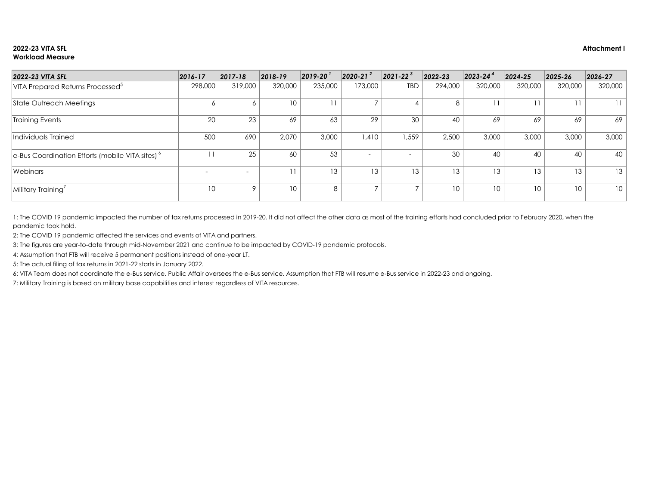### **2022-23 VITA SFL Attachment I Workload Measure**

| 2022-23 VITA SFL                                            | $ 2016 - 17 $ | $ 2017 - 18 $            | $ 2018-19 $ | $\vert$ 2019-20 $\vert$ | $2020 - 21^{2}$          | $\left  2021 - 22 \right ^{3}$ | $ 2022 - 23 $   | $ 2023 - 24^4 $ | $ 2024 - 25 $   | $ 2025 - 26 $   | $ 2026 - 27 $ |
|-------------------------------------------------------------|---------------|--------------------------|-------------|-------------------------|--------------------------|--------------------------------|-----------------|-----------------|-----------------|-----------------|---------------|
| VITA Prepared Returns Processed <sup>5</sup>                | 298,000       | 319,000                  | 320,000     | 235,000                 | 173,000                  | <b>TBD</b>                     | 294,000         | 320,000         | 320,000         | 320,000         | 320,000       |
| State Outreach Meetings                                     | $\circ$       | <sup>n</sup>             | 10          | 11                      | $\overline{\phantom{a}}$ |                                | 8               |                 | 11              |                 |               |
| Training Events                                             | 20            | 23                       | 69          | 63                      | 29                       | 30                             | 40              | 69              | 69              | 69              | 69            |
| Individuals Trained                                         | 500           | 690                      | 2,070       | 3,000                   | 1,410                    | 559, ا                         | 2,500           | 3,000           | 3,000           | 3,000           | 3,000         |
| e-Bus Coordination Efforts (mobile VITA sites) <sup>6</sup> | 11            | 25                       | 60          | 53                      |                          | $\overline{\phantom{0}}$       | 30              | 40              | 40              | 40              | 40            |
| Webinars                                                    |               | $\overline{\phantom{0}}$ | 11          | 13                      | 13                       | 13                             | 13 <sup>°</sup> | 13              | 13              | 13              | 13            |
| Military Training                                           | 10            | O                        | 10          | 8                       | $\overline{\phantom{a}}$ |                                | $10-10$         | 10              | 10 <sup>°</sup> | 10 <sup>°</sup> | 10            |

2: The COVID 19 pandemic affected the services and events of VITA and partners.

1: The COVID 19 pandemic impacted the number of tax returns processed in 2019-20. It did not affect the other data as most of the training efforts had concluded prior to February 2020, when the pandemic took hold.

3: The figures are year-to-date through mid-November 2021 and continue to be impacted by COVID-19 pandemic protocols.

4: Assumption that FTB will receive 5 permanent positions instead of one-year LT.

5: The actual filing of tax returns in 2021-22 starts in January 2022.

6: VITA Team does not coordinate the e-Bus service. Public Affair oversees the e-Bus service. Assumption that FTB will resume e-Bus service in 2022-23 and ongoing.

7: Military Training is based on military base capabilities and interest regardless of VITA resources.